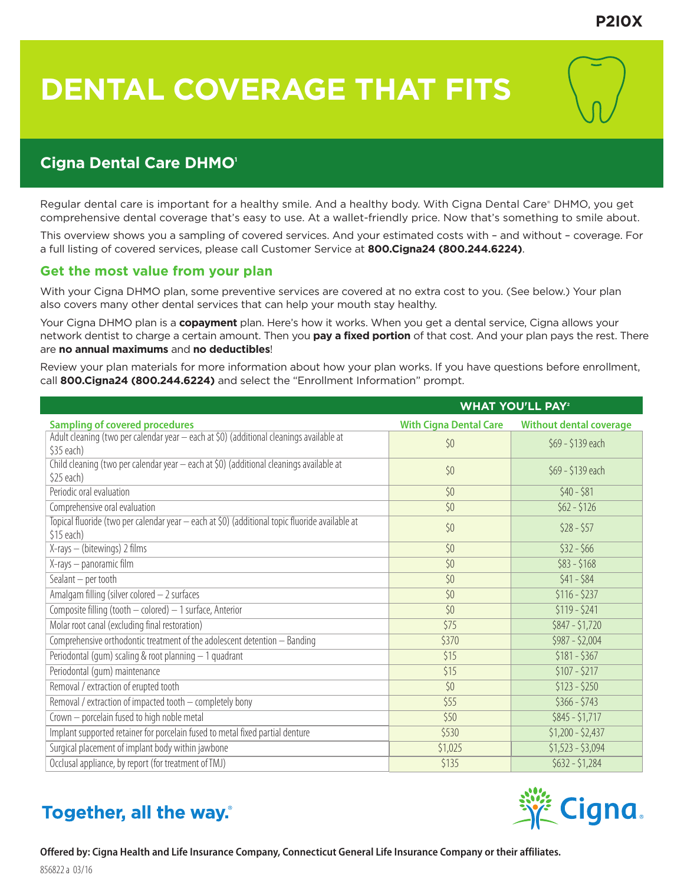# **DENTAL COVERAGE THAT FITS**

## **Cigna Dental Care DHMO1**

Regular dental care is important for a healthy smile. And a healthy body. With Cigna Dental Care® DHMO, you get comprehensive dental coverage that's easy to use. At a wallet-friendly price. Now that's something to smile about.

This overview shows you a sampling of covered services. And your estimated costs with – and without – coverage. For a full listing of covered services, please call Customer Service at **800.Cigna24 (800.244.6224)**.

## **Get the most value from your plan**

With your Cigna DHMO plan, some preventive services are covered at no extra cost to you. (See below.) Your plan also covers many other dental services that can help your mouth stay healthy.

Your Cigna DHMO plan is a **copayment** plan. Here's how it works. When you get a dental service, Cigna allows your network dentist to charge a certain amount. Then you **pay a fixed portion** of that cost. And your plan pays the rest. There are **no annual maximums** and **no deductibles**!

Review your plan materials for more information about how your plan works. If you have questions before enrollment, call **800.Cigna24 (800.244.6224)** and select the "Enrollment Information" prompt.

|                                                                                                              | <b>WHAT YOU'LL PAY<sup>2</sup></b> |                                |
|--------------------------------------------------------------------------------------------------------------|------------------------------------|--------------------------------|
| <b>Sampling of covered procedures</b>                                                                        | <b>With Cigna Dental Care</b>      | <b>Without dental coverage</b> |
| Adult cleaning (two per calendar year - each at \$0) (additional cleanings available at<br>\$35 each)        | \$0                                | \$69 - \$139 each              |
| Child cleaning (two per calendar year - each at \$0) (additional cleanings available at<br>\$25 each)        | \$0                                | \$69 - \$139 each              |
| Periodic oral evaluation                                                                                     | \$0                                | $$40 - $81$                    |
| Comprehensive oral evaluation                                                                                | \$0                                | $$62 - $126$                   |
| Topical fluoride (two per calendar year - each at \$0) (additional topic fluoride available at<br>\$15 each) | \$0                                | $$28 - $57$                    |
| X-rays - (bitewings) 2 films                                                                                 | \$0                                | $$32 - $66$                    |
| X-rays - panoramic film                                                                                      | \$0                                | $$83 - $168$                   |
| Sealant - per tooth                                                                                          | \$0                                | $$41 - $84$                    |
| Amalgam filling (silver colored - 2 surfaces                                                                 | \$0                                | $$116 - $237$                  |
| Composite filling (tooth - colored) - 1 surface, Anterior                                                    | \$0                                | $$119 - $241$                  |
| Molar root canal (excluding final restoration)                                                               | \$75                               | $$847 - $1,720$                |
| Comprehensive orthodontic treatment of the adolescent detention - Banding                                    | \$370                              | $$987 - $2,004$                |
| Periodontal (qum) scaling & root planning - 1 quadrant                                                       | \$15                               | $$181 - $367$                  |
| Periodontal (qum) maintenance                                                                                | \$15                               | $$107 - $217$                  |
| Removal / extraction of erupted tooth                                                                        | \$0                                | $$123 - $250$                  |
| Removal / extraction of impacted tooth - completely bony                                                     | \$55                               | $$366 - $743$                  |
| Crown - porcelain fused to high noble metal                                                                  | \$50                               | $$845 - $1,717$                |
| Implant supported retainer for porcelain fused to metal fixed partial denture                                | \$530                              | $$1,200 - $2,437$              |
| Surgical placement of implant body within jawbone                                                            | \$1,025                            | $51,523 - 53,094$              |
| Occlusal appliance, by report (for treatment of TMJ)                                                         | \$135                              | $$632 - $1,284$                |

## Together, all the way.

856822 a 03/16

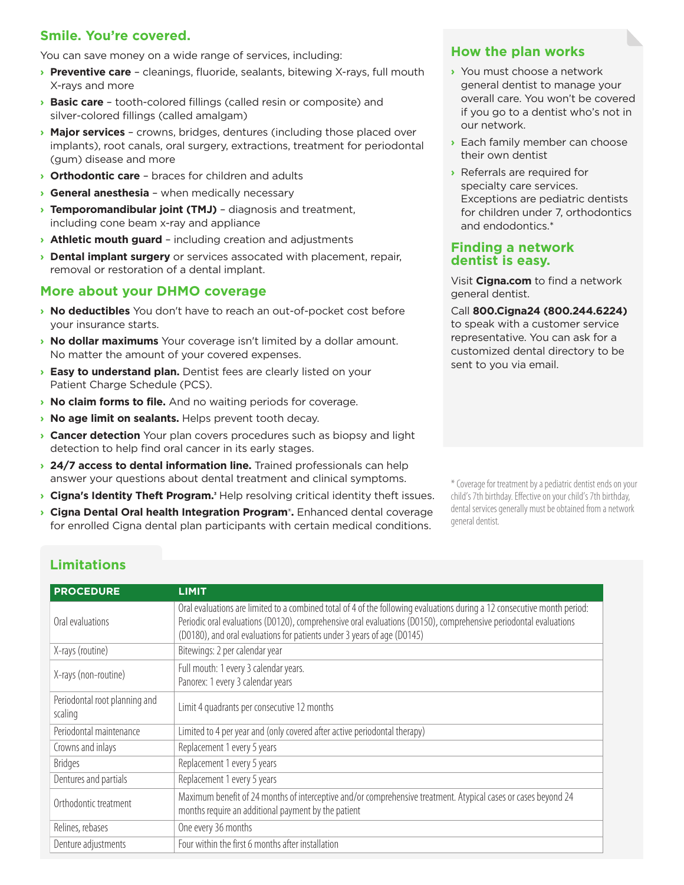## **Smile. You're covered.**

You can save money on a wide range of services, including:

- **› Preventive care** cleanings, fluoride, sealants, bitewing X-rays, full mouth X-rays and more
- **› Basic care** tooth-colored fillings (called resin or composite) and silver-colored fillings (called amalgam)
- **› Major services**  crowns, bridges, dentures (including those placed over implants), root canals, oral surgery, extractions, treatment for periodontal (gum) disease and more
- **› Orthodontic care**  braces for children and adults
- **› General anesthesia** when medically necessary
- **› Temporomandibular joint (TMJ)**  diagnosis and treatment, including cone beam x-ray and appliance
- **› Athletic mouth guard** including creation and adjustments
- **› Dental implant surgery** or services assocated with placement, repair, removal or restoration of a dental implant.

## **More about your DHMO coverage**

- **› No deductibles** You don't have to reach an out-of-pocket cost before your insurance starts.
- **› No dollar maximums** Your coverage isn't limited by a dollar amount. No matter the amount of your covered expenses.
- **› Easy to understand plan.** Dentist fees are clearly listed on your Patient Charge Schedule (PCS).
- **› No claim forms to file.** And no waiting periods for coverage.
- **› No age limit on sealants.** Helps prevent tooth decay.
- **› Cancer detection** Your plan covers procedures such as biopsy and light detection to help find oral cancer in its early stages.
- **› 24/7 access to dental information line.** Trained professionals can help answer your questions about dental treatment and clinical symptoms.
- **Cigna's Identity Theft Program.** Help resolving critical identity theft issues.
- **› Cigna Dental Oral health Integration Program® .** Enhanced dental coverage for enrolled Cigna dental plan participants with certain medical conditions.

\* Coverage for treatment by a pediatric dentist ends on your child's 7th birthday. Effective on your child's 7th birthday, dental services generally must be obtained from a network general dentist.

## **Limitations**

| <b>PROCEDURE</b>                         | <b>LIMIT</b>                                                                                                                                                                                                                                                                                                            |
|------------------------------------------|-------------------------------------------------------------------------------------------------------------------------------------------------------------------------------------------------------------------------------------------------------------------------------------------------------------------------|
| Oral evaluations                         | Oral evaluations are limited to a combined total of 4 of the following evaluations during a 12 consecutive month period:<br>Periodic oral evaluations (D0120), comprehensive oral evaluations (D0150), comprehensive periodontal evaluations<br>(D0180), and oral evaluations for patients under 3 years of age (D0145) |
| X-rays (routine)                         | Bitewings: 2 per calendar year                                                                                                                                                                                                                                                                                          |
| X-rays (non-routine)                     | Full mouth: 1 every 3 calendar years.<br>Panorex: 1 every 3 calendar years                                                                                                                                                                                                                                              |
| Periodontal root planning and<br>scaling | Limit 4 quadrants per consecutive 12 months                                                                                                                                                                                                                                                                             |
| Periodontal maintenance                  | Limited to 4 per year and (only covered after active periodontal therapy)                                                                                                                                                                                                                                               |
| Crowns and inlays                        | Replacement 1 every 5 years                                                                                                                                                                                                                                                                                             |
| <b>Bridges</b>                           | Replacement 1 every 5 years                                                                                                                                                                                                                                                                                             |
| Dentures and partials                    | Replacement 1 every 5 years                                                                                                                                                                                                                                                                                             |
| Orthodontic treatment                    | Maximum benefit of 24 months of interceptive and/or comprehensive treatment. Atypical cases or cases beyond 24<br>months require an additional payment by the patient                                                                                                                                                   |
| Relines, rebases                         | One every 36 months                                                                                                                                                                                                                                                                                                     |
| Denture adjustments                      | Four within the first 6 months after installation                                                                                                                                                                                                                                                                       |

## **How the plan works**

- **›** You must choose a network general dentist to manage your overall care. You won't be covered if you go to a dentist who's not in our network.
- **›** Each family member can choose their own dentist
- **›** Referrals are required for specialty care services. Exceptions are pediatric dentists for children under 7, orthodontics and endodontics.\*

#### **Finding a network dentist is easy.**

Visit **Cigna.com** to find a network general dentist.

Call **800.Cigna24 (800.244.6224)** to speak with a customer service

representative. You can ask for a customized dental directory to be sent to you via email.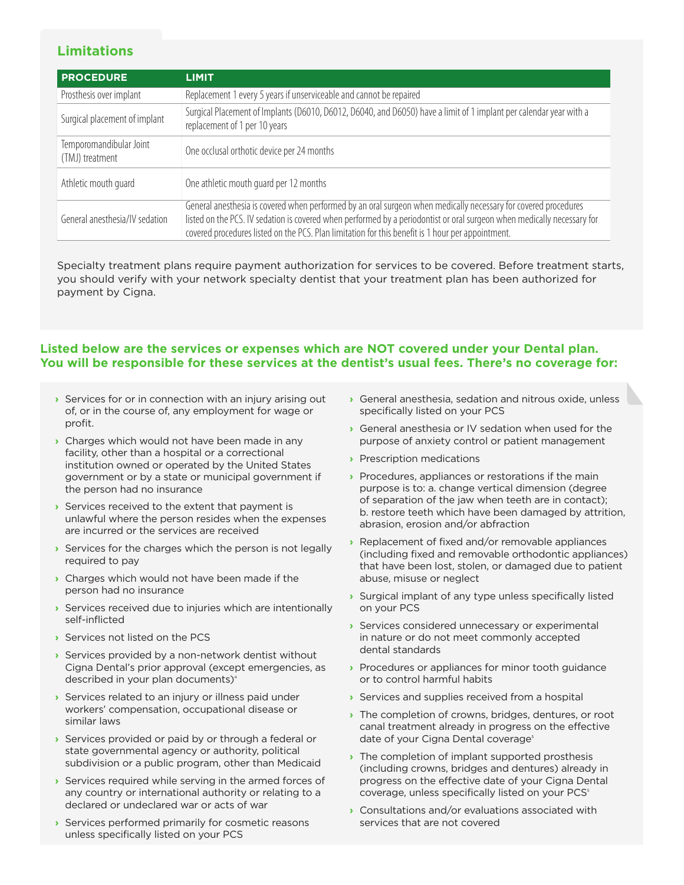## **Limitations**

| <b>PROCEDURE</b>                           | <b>LIMIT</b>                                                                                                                                                                                                                                                                                                                                    |
|--------------------------------------------|-------------------------------------------------------------------------------------------------------------------------------------------------------------------------------------------------------------------------------------------------------------------------------------------------------------------------------------------------|
| Prosthesis over implant                    | Replacement 1 every 5 years if unserviceable and cannot be repaired                                                                                                                                                                                                                                                                             |
| Surgical placement of implant              | Surgical Placement of Implants (D6010, D6012, D6040, and D6050) have a limit of 1 implant per calendar year with a<br>replacement of 1 per 10 years                                                                                                                                                                                             |
| Temporomandibular Joint<br>(TMJ) treatment | One occlusal orthotic device per 24 months                                                                                                                                                                                                                                                                                                      |
| Athletic mouth quard                       | One athletic mouth quard per 12 months                                                                                                                                                                                                                                                                                                          |
| General anesthesia/IV sedation             | General anesthesia is covered when performed by an oral surgeon when medically necessary for covered procedures<br>listed on the PCS. IV sedation is covered when performed by a periodontist or oral surgeon when medically necessary for<br>covered procedures listed on the PCS. Plan limitation for this benefit is 1 hour per appointment. |

Specialty treatment plans require payment authorization for services to be covered. Before treatment starts, you should verify with your network specialty dentist that your treatment plan has been authorized for payment by Cigna.

#### **Listed below are the services or expenses which are NOT covered under your Dental plan. You will be responsible for these services at the dentist's usual fees. There's no coverage for:**

- **›** Services for or in connection with an injury arising out of, or in the course of, any employment for wage or profit.
- **›** Charges which would not have been made in any facility, other than a hospital or a correctional institution owned or operated by the United States government or by a state or municipal government if the person had no insurance
- **›** Services received to the extent that payment is unlawful where the person resides when the expenses are incurred or the services are received
- **›** Services for the charges which the person is not legally required to pay
- **›** Charges which would not have been made if the person had no insurance
- **›** Services received due to injuries which are intentionally self-inflicted
- **›** Services not listed on the PCS
- **›** Services provided by a non-network dentist without Cigna Dental's prior approval (except emergencies, as described in your plan documents)<sup>4</sup>
- **›** Services related to an injury or illness paid under workers' compensation, occupational disease or similar laws
- **›** Services provided or paid by or through a federal or state governmental agency or authority, political subdivision or a public program, other than Medicaid
- **›** Services required while serving in the armed forces of any country or international authority or relating to a declared or undeclared war or acts of war
- **›** Services performed primarily for cosmetic reasons unless specifically listed on your PCS
- **›** General anesthesia, sedation and nitrous oxide, unless specifically listed on your PCS
- **›** General anesthesia or IV sedation when used for the purpose of anxiety control or patient management
- **›** Prescription medications
- **›** Procedures, appliances or restorations if the main purpose is to: a. change vertical dimension (degree of separation of the jaw when teeth are in contact); b. restore teeth which have been damaged by attrition, abrasion, erosion and/or abfraction
- **›** Replacement of fixed and/or removable appliances (including fixed and removable orthodontic appliances) that have been lost, stolen, or damaged due to patient abuse, misuse or neglect
- **›** Surgical implant of any type unless specifically listed on your PCS
- **›** Services considered unnecessary or experimental in nature or do not meet commonly accepted dental standards
- **›** Procedures or appliances for minor tooth guidance or to control harmful habits
- **›** Services and supplies received from a hospital
- **›** The completion of crowns, bridges, dentures, or root canal treatment already in progress on the effective date of your Cigna Dental coverage<sup>5</sup>
- **›** The completion of implant supported prosthesis (including crowns, bridges and dentures) already in progress on the effective date of your Cigna Dental coverage, unless specifically listed on your PCS<sup>5</sup>
- **›** Consultations and/or evaluations associated with services that are not covered